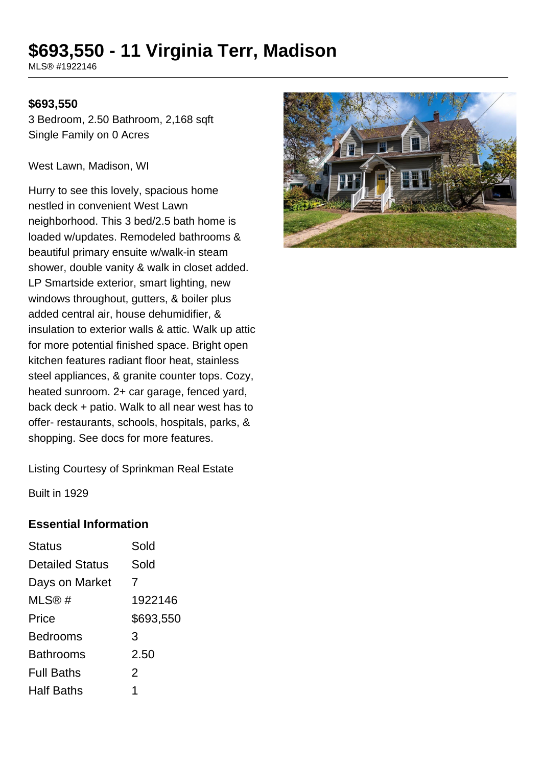# **\$693,550 - 11 Virginia Terr, Madison**

MLS® #1922146

#### **\$693,550**

3 Bedroom, 2.50 Bathroom, 2,168 sqft Single Family on 0 Acres

West Lawn, Madison, WI

Hurry to see this lovely, spacious home nestled in convenient West Lawn neighborhood. This 3 bed/2.5 bath home is loaded w/updates. Remodeled bathrooms & beautiful primary ensuite w/walk-in steam shower, double vanity & walk in closet added. LP Smartside exterior, smart lighting, new windows throughout, gutters, & boiler plus added central air, house dehumidifier, & insulation to exterior walls & attic. Walk up attic for more potential finished space. Bright open kitchen features radiant floor heat, stainless steel appliances, & granite counter tops. Cozy, heated sunroom. 2+ car garage, fenced yard, back deck + patio. Walk to all near west has to offer- restaurants, schools, hospitals, parks, & shopping. See docs for more features.



Listing Courtesy of Sprinkman Real Estate

Built in 1929

#### **Essential Information**

| <b>Status</b>          | Sold      |
|------------------------|-----------|
| <b>Detailed Status</b> | Sold      |
| Days on Market         | 7         |
| MLS@#                  | 1922146   |
| Price                  | \$693,550 |
| <b>Bedrooms</b>        | 3         |
| <b>Bathrooms</b>       | 2.50      |
| <b>Full Baths</b>      | 2         |
| <b>Half Baths</b>      |           |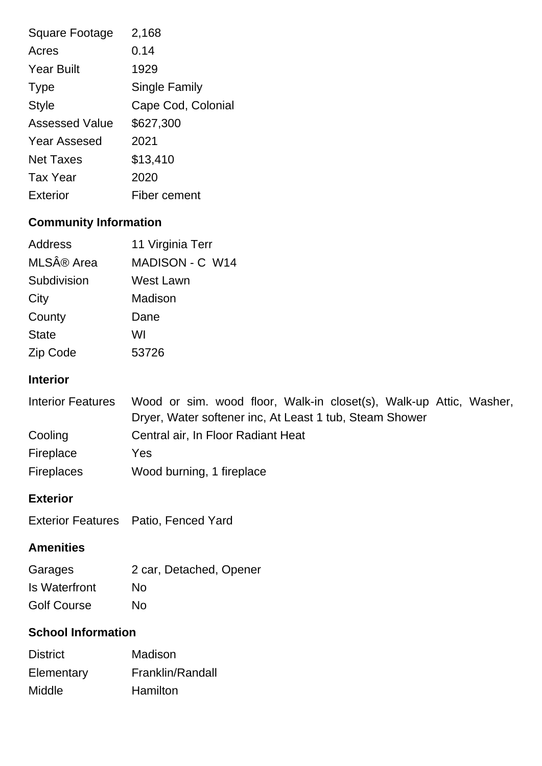| Square Footage        | 2,168              |
|-----------------------|--------------------|
| Acres                 | 0.14               |
| <b>Year Built</b>     | 1929               |
| <b>Type</b>           | Single Family      |
| <b>Style</b>          | Cape Cod, Colonial |
| <b>Assessed Value</b> | \$627,300          |
| <b>Year Assesed</b>   | 2021               |
| <b>Net Taxes</b>      | \$13,410           |
| <b>Tax Year</b>       | 2020               |
| Exterior              | Fiber cement       |

## **Community Information**

| Address      | 11 Virginia Terr       |
|--------------|------------------------|
| MLS® Area    | <b>MADISON - C W14</b> |
| Subdivision  | West Lawn              |
| City         | Madison                |
| County       | Dane                   |
| <b>State</b> | WI                     |
| Zip Code     | 53726                  |

#### **Interior**

| <b>Interior Features</b> | Wood or sim. wood floor, Walk-in closet(s), Walk-up Attic, Washer, |
|--------------------------|--------------------------------------------------------------------|
|                          | Dryer, Water softener inc, At Least 1 tub, Steam Shower            |
| Cooling                  | Central air, In Floor Radiant Heat                                 |
| Fireplace                | Yes                                                                |
| <b>Fireplaces</b>        | Wood burning, 1 fireplace                                          |

#### **Exterior**

|  | Exterior Features Patio, Fenced Yard |
|--|--------------------------------------|
|--|--------------------------------------|

### **Amenities**

| Garages            | 2 car, Detached, Opener |
|--------------------|-------------------------|
| Is Waterfront      | No                      |
| <b>Golf Course</b> | No                      |

### **School Information**

| <b>District</b> | Madison          |
|-----------------|------------------|
| Elementary      | Franklin/Randall |
| Middle          | Hamilton         |